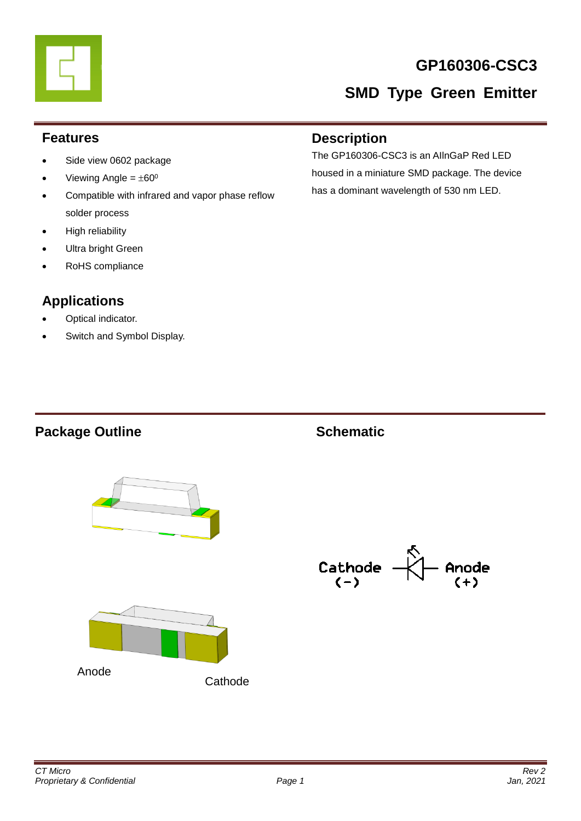# **GP160306-CSC3**

# **SMD Type Green Emitter**

#### **Features**

- Side view 0602 package
- Viewing Angle =  $\pm 60^\circ$
- Compatible with infrared and vapor phase reflow solder process
- High reliability
- Ultra bright Green
- RoHS compliance

# **Applications**

- Optical indicator.
- Switch and Symbol Display.

#### **Description**

The GP160306-CSC3 is an AIlnGaP Red LED housed in a miniature SMD package. The device has a dominant wavelength of 530 nm LED.

### **Package Outline Schematic**



Cathode<br>(-) Anode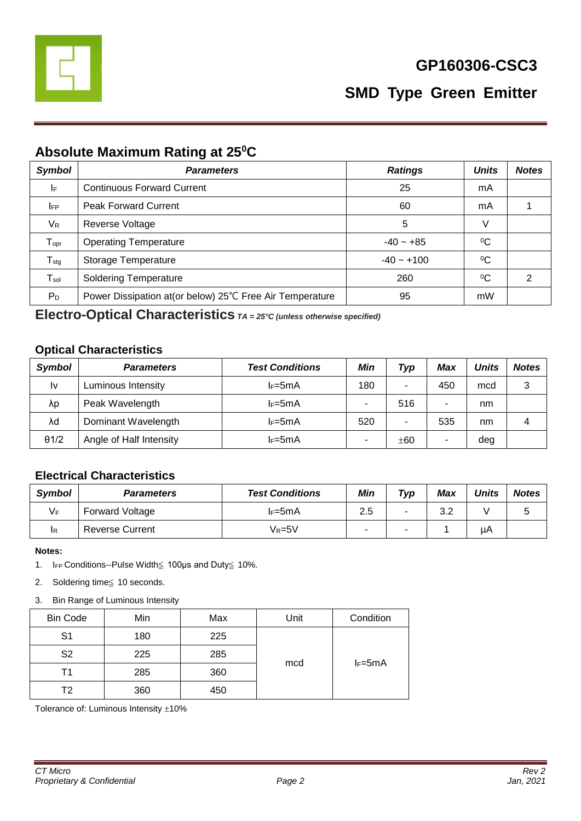

# **Absolute Maximum Rating at 25<sup>0</sup>C**

| <b>Symbol</b>    | <b>Parameters</b>                                        | <b>Ratings</b> | <b>Units</b> | <b>Notes</b> |
|------------------|----------------------------------------------------------|----------------|--------------|--------------|
| IF               | <b>Continuous Forward Current</b>                        | 25             | mA           |              |
| <b>IFP</b>       | <b>Peak Forward Current</b>                              | 60             | mA           |              |
| $V_{R}$          | Reverse Voltage                                          | 5              | V            |              |
| $T_{\text{opr}}$ | <b>Operating Temperature</b>                             | $-40 - +85$    | $\rm ^{0}C$  |              |
| $T_{\text{stg}}$ | Storage Temperature                                      | $-40 - +100$   | $\rm ^{0}C$  |              |
| $T_{sol}$        | <b>Soldering Temperature</b>                             | 260            | $\rm ^{0}C$  | 2            |
| $P_D$            | Power Dissipation at (or below) 25℃ Free Air Temperature | 95             | mW           |              |

**Electro-Optical Characteristics** *TA = 25°C (unless otherwise specified)*

#### **Optical Characteristics**

| <b>Symbol</b> | <b>Parameters</b>       | <b>Test Conditions</b> | Min | Typ | Max | <b>Units</b> | <b>Notes</b> |
|---------------|-------------------------|------------------------|-----|-----|-----|--------------|--------------|
| I٧            | Luminous Intensity      | $I_F = 5mA$            | 180 | ۰   | 450 | mcd          | 3            |
| λp            | Peak Wavelength         | $I_F = 5mA$            | -   | 516 |     | nm           |              |
| λd            | Dominant Wavelength     | $I_F = 5mA$            | 520 | ۰   | 535 | nm           | 4            |
| $\theta$ 1/2  | Angle of Half Intensity | $I_F = 5mA$            | ۰   | ±60 |     | deg          |              |

#### **Electrical Characteristics**

| <b>Symbol</b> | <b>Parameters</b>      | <b>Test Conditions</b> | Min                      | $\tau_{\gamma p}$ | Max        | <b>Units</b> | <b>Notes</b> |
|---------------|------------------------|------------------------|--------------------------|-------------------|------------|--------------|--------------|
| VF            | <b>Forward Voltage</b> | lF=5mA                 | 2.5                      | -                 | າ າ<br>ے.د |              |              |
| IR            | <b>Reverse Current</b> | Vr=5V                  | $\overline{\phantom{a}}$ | -                 |            | μA           |              |

**Notes:** 

- 1. IFP Conditions--Pulse Width≦ 100μs and Duty≦ 10%.
- 2. Soldering time≦ 10 seconds.
- 3. Bin Range of Luminous Intensity

| <b>Bin Code</b> | Min | Max | Unit | Condition   |  |
|-----------------|-----|-----|------|-------------|--|
| S <sub>1</sub>  | 180 | 225 |      |             |  |
| S <sub>2</sub>  | 225 | 285 |      |             |  |
| Τ1              | 285 | 360 | mcd  | $I_F = 5mA$ |  |
| T2              | 360 | 450 |      |             |  |

Tolerance of: Luminous Intensity  $\pm 10\%$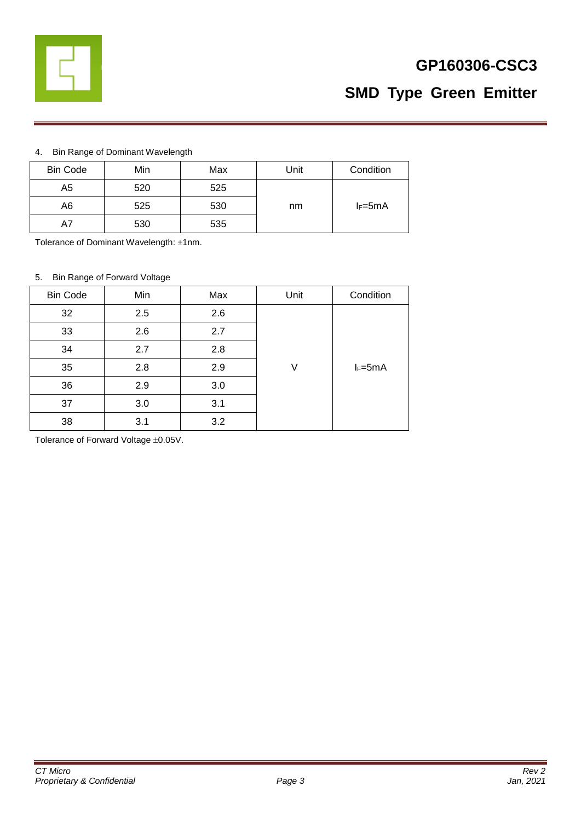

# **GP160306-CSC3**

# **SMD Type Green Emitter**

#### 4. Bin Range of Dominant Wavelength

| <b>Bin Code</b> | Min | Max | Unit | Condition   |
|-----------------|-----|-----|------|-------------|
| A5              | 520 | 525 |      |             |
| A6              | 525 | 530 | nm   | $I_F = 5mA$ |
| A7              | 530 | 535 |      |             |

Tolerance of Dominant Wavelength: ±1nm.

#### 5. Bin Range of Forward Voltage

| <b>Bin Code</b> | Min | Max | Unit | Condition   |
|-----------------|-----|-----|------|-------------|
| 32              | 2.5 | 2.6 |      |             |
| 33              | 2.6 | 2.7 |      |             |
| 34              | 2.7 | 2.8 |      |             |
| 35              | 2.8 | 2.9 | V    | $I_F = 5mA$ |
| 36              | 2.9 | 3.0 |      |             |
| 37              | 3.0 | 3.1 |      |             |
| 38              | 3.1 | 3.2 |      |             |

Tolerance of Forward Voltage  $\pm 0.05$ V.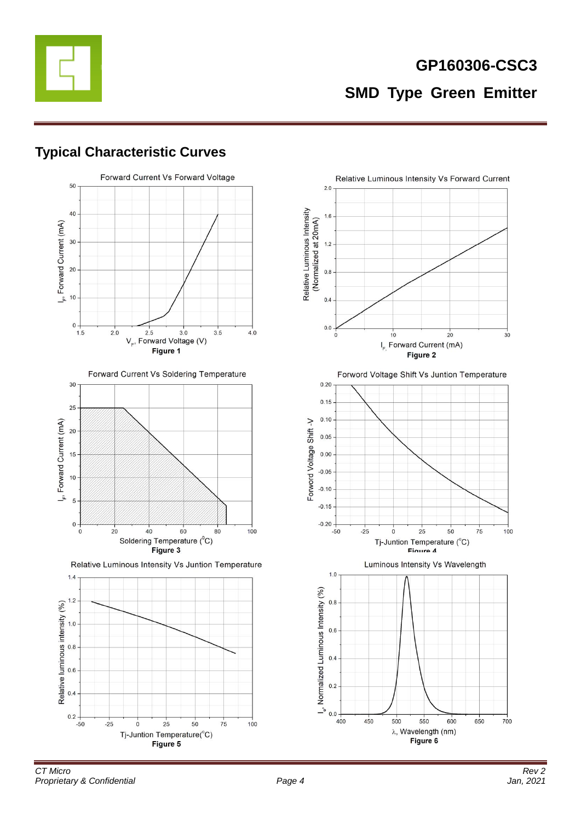

### **Typical Characteristic Curves**



Forward Current Vs Soldering Temperature



Relative Luminous Intensity Vs Juntion Temperature



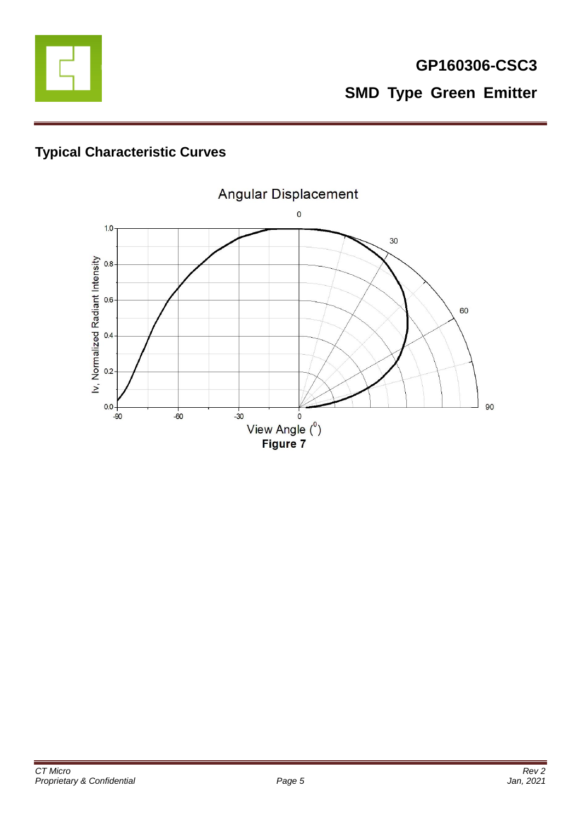

# **Typical Characteristic Curves**

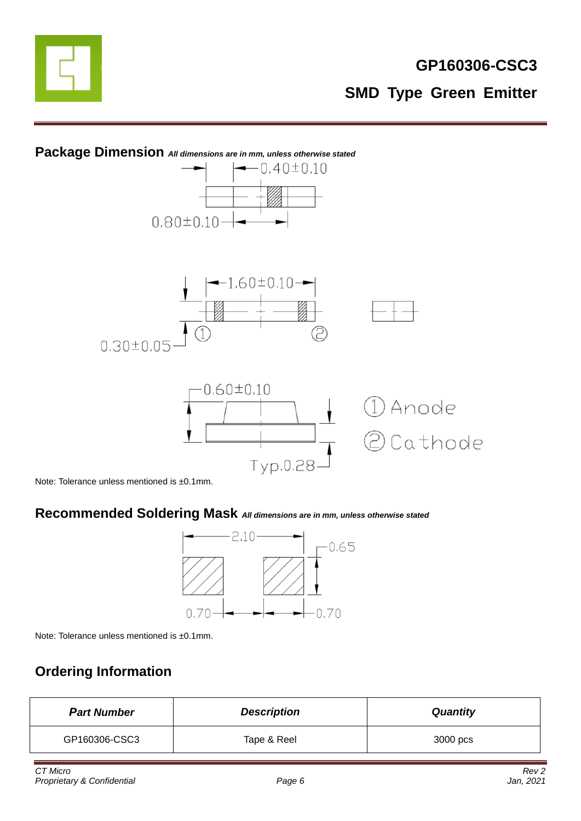



Note: Tolerance unless mentioned is ±0.1mm.

# **Recommended Soldering Mask** *All dimensions are in mm, unless otherwise stated*



Note: Tolerance unless mentioned is ±0.1mm.

# **Ordering Information**

| <b>Part Number</b> | <b>Description</b> | <b>Quantity</b> |
|--------------------|--------------------|-----------------|
| GP160306-CSC3      | Tape & Reel        | 3000 pcs        |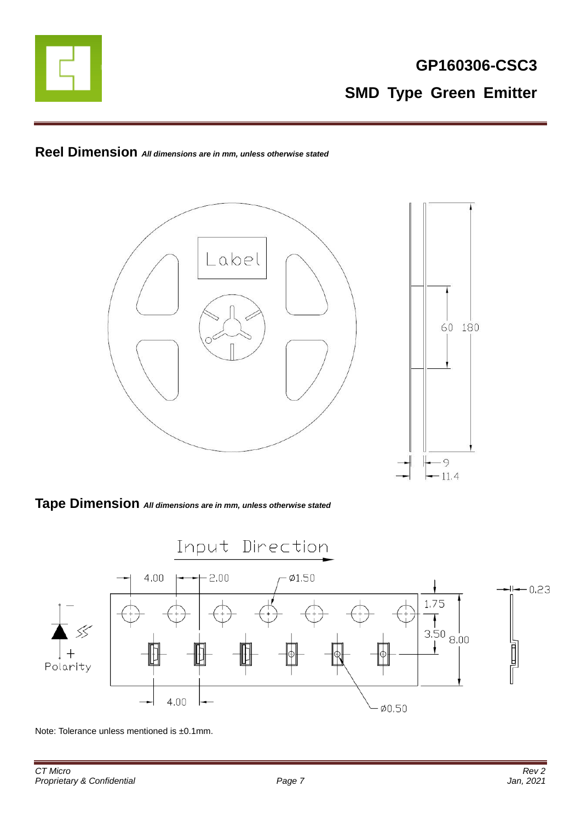

# **Reel Dimension** *All dimensions are in mm, unless otherwise stated*



#### **Tape Dimension** *All dimensions are in mm, unless otherwise stated*



Note: Tolerance unless mentioned is ±0.1mm.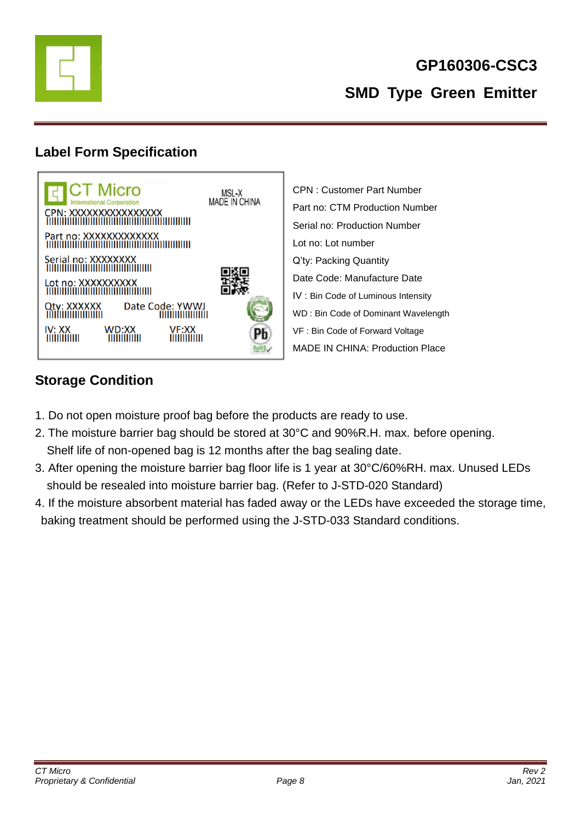

# **Label Form Specification**



CPN : Customer Part Number Part no: CTM Production Number Serial no: Production Number Lot no: Lot number Q'ty: Packing Quantity Date Code: Manufacture Date IV : Bin Code of Luminous Intensity WD : Bin Code of Dominant Wavelength VF : Bin Code of Forward Voltage MADE IN CHINA: Production Place

# **Storage Condition**

- 1. Do not open moisture proof bag before the products are ready to use.
- 2. The moisture barrier bag should be stored at 30°C and 90%R.H. max. before opening. Shelf life of non-opened bag is 12 months after the bag sealing date.
- 3. After opening the moisture barrier bag floor life is 1 year at 30°C/60%RH. max. Unused LEDs should be resealed into moisture barrier bag. (Refer to J-STD-020 Standard)
- 4. If the moisture absorbent material has faded away or the LEDs have exceeded the storage time, baking treatment should be performed using the J-STD-033 Standard conditions.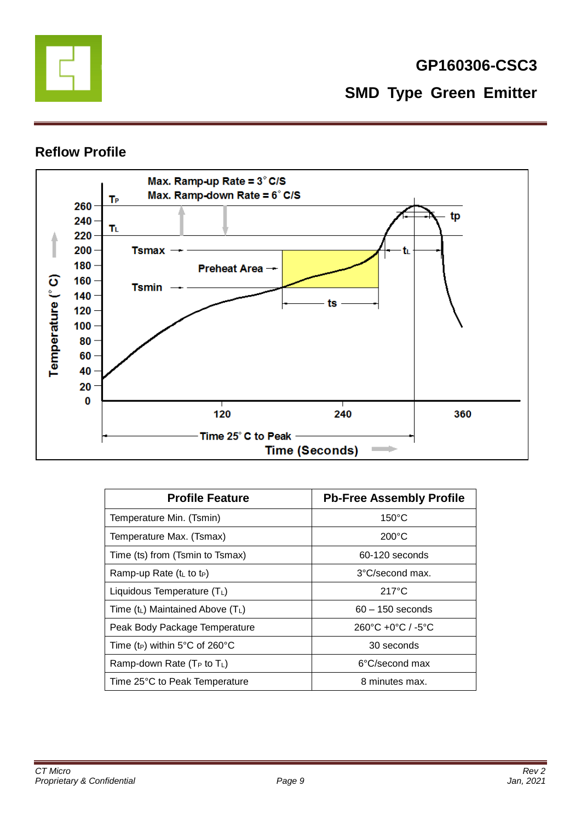

### **Reflow Profile**



| <b>Profile Feature</b>                     | <b>Pb-Free Assembly Profile</b>                   |
|--------------------------------------------|---------------------------------------------------|
| Temperature Min. (Tsmin)                   | $150^{\circ}$ C                                   |
| Temperature Max. (Tsmax)                   | $200^{\circ}$ C                                   |
| Time (ts) from (Tsmin to Tsmax)            | 60-120 seconds                                    |
| Ramp-up Rate $(tL$ to t <sub>P</sub> )     | 3°C/second max.                                   |
| Liquidous Temperature $(T_L)$              | $217^{\circ}$ C                                   |
| Time $(t_L)$ Maintained Above $(T_L)$      | $60 - 150$ seconds                                |
| Peak Body Package Temperature              | $260^{\circ}$ C +0 $^{\circ}$ C / -5 $^{\circ}$ C |
| Time (t <sub>P</sub> ) within 5°C of 260°C | 30 seconds                                        |
| Ramp-down Rate ( $T_P$ to $T_L$ )          | 6°C/second max                                    |
| Time 25°C to Peak Temperature              | 8 minutes max.                                    |